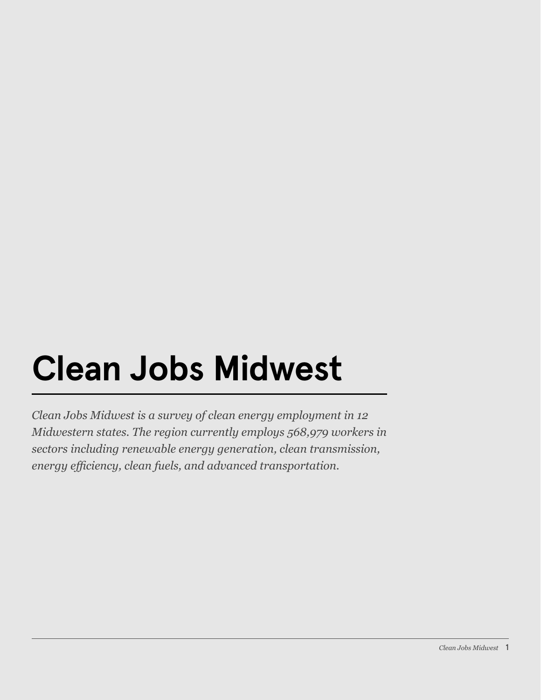## **Clean Jobs Midwest**

*Clean Jobs Midwest is a survey of clean energy employment in 12 Midwestern states. The region currently employs 568,979 workers in sectors including renewable energy generation, clean transmission, energy efficiency, clean fuels, and advanced transportation.*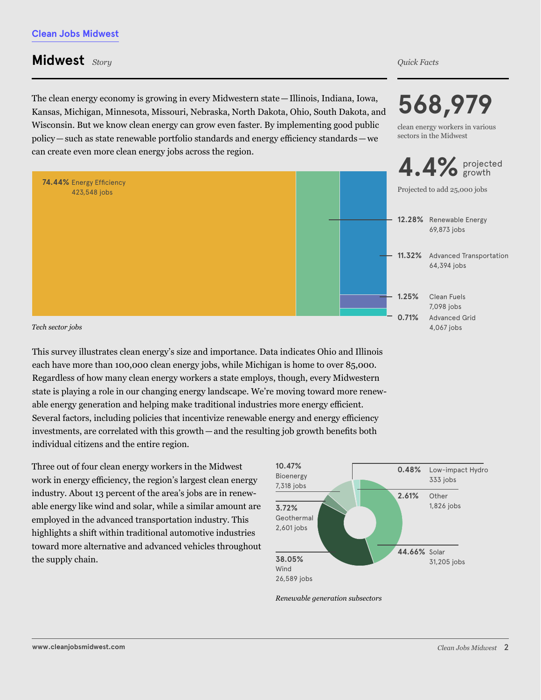## **Midwest** *Story Quick Facts*

The clean energy economy is growing in every Midwestern state—Illinois, Indiana, Iowa, Kansas, Michigan, Minnesota, Missouri, Nebraska, North Dakota, Ohio, South Dakota, and Wisconsin. But we know clean energy can grow even faster. By implementing good public policy — such as state renewable portfolio standards and energy efficiency standards — we can create even more clean energy jobs across the region.



*Tech sector jobs*

This survey illustrates clean energy's size and importance. Data indicates Ohio and Illinois each have more than 100,000 clean energy jobs, while Michigan is home to over 85,000. Regardless of how many clean energy workers a state employs, though, every Midwestern state is playing a role in our changing energy landscape. We're moving toward more renewable energy generation and helping make traditional industries more energy efficient. Several factors, including policies that incentivize renewable energy and energy efficiency investments, are correlated with this growth — and the resulting job growth benefits both individual citizens and the entire region.

Three out of four clean energy workers in the Midwest work in energy efficiency, the region's largest clean energy industry. About 13 percent of the area's jobs are in renewable energy like wind and solar, while a similar amount are employed in the advanced transportation industry. This highlights a shift within traditional automotive industries toward more alternative and advanced vehicles throughout the supply chain.

*Renewable generation subsectors*



**568,979**

clean energy workers in various sectors in the Midwest